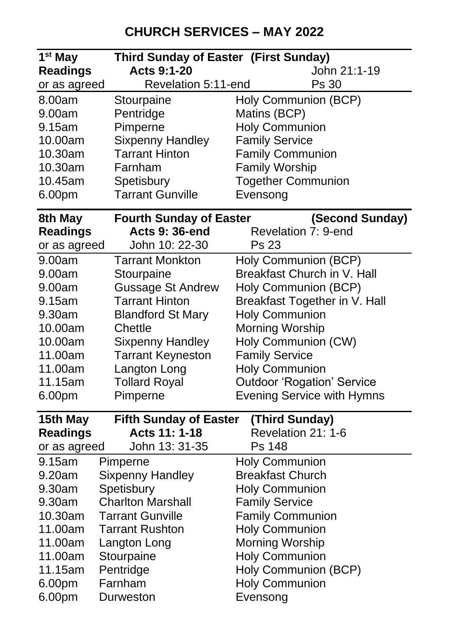## **CHURCH SERVICES – MAY 2022**

| 1 <sup>st</sup> May | Third Sunday of Easter (First Sunday) |                                                                        |
|---------------------|---------------------------------------|------------------------------------------------------------------------|
| <b>Readings</b>     | <b>Acts 9:1-20</b>                    | John 21:1-19                                                           |
| or as agreed        | Revelation 5:11-end                   | Ps 30                                                                  |
| 8.00am              | Stourpaine                            | Holy Communion (BCP)                                                   |
| 9.00am              | Pentridge                             | Matins (BCP)                                                           |
| 9.15am              | Pimperne                              | <b>Holy Communion</b>                                                  |
| 10.00am             | <b>Sixpenny Handley</b>               | <b>Family Service</b>                                                  |
| 10.30am             | <b>Tarrant Hinton</b>                 | <b>Family Communion</b>                                                |
| 10.30am             | Farnham                               | <b>Family Worship</b>                                                  |
| 10.45am             | Spetisbury                            | <b>Together Communion</b>                                              |
| 6.00pm              | <b>Tarrant Gunville</b>               | Evensong                                                               |
| 8th May             | <b>Fourth Sunday of Easter</b>        | (Second Sunday)                                                        |
| <b>Readings</b>     | <b>Acts 9: 36-end</b>                 | Revelation 7: 9-end                                                    |
| or as agreed        | John 10: 22-30                        | Ps 23                                                                  |
| 9.00am              | <b>Tarrant Monkton</b>                | Holy Communion (BCP)                                                   |
| 9.00am              | Stourpaine                            | Breakfast Church in V. Hall                                            |
| 9.00am              | <b>Gussage St Andrew</b>              | Holy Communion (BCP)                                                   |
| 9.15am              | Tarrant Hinton                        | Breakfast Together in V. Hall                                          |
| 9.30am              | <b>Blandford St Mary</b>              | <b>Holy Communion</b>                                                  |
| 10.00am             | Chettle                               | Morning Worship                                                        |
| 10.00am             | <b>Sixpenny Handley</b>               | Holy Communion (CW)                                                    |
| 11.00am             | <b>Tarrant Keyneston</b>              | <b>Family Service</b>                                                  |
| 11.00am<br>11.15am  | Langton Long                          | <b>Holy Communion</b>                                                  |
|                     | <b>Tollard Royal</b><br>Pimperne      | <b>Outdoor 'Rogation' Service</b><br><b>Evening Service with Hymns</b> |
| 6.00pm              |                                       |                                                                        |
| 15th May            | <b>Fifth Sunday of Easter</b>         | (Third Sunday)                                                         |
| <b>Readings</b>     | Acts 11: 1-18                         | Revelation 21: 1-6                                                     |
| or as agreed        | John 13: 31-35                        | Ps 148                                                                 |
| 9.15am              | Pimperne                              | <b>Holy Communion</b>                                                  |
| 9.20am              | <b>Sixpenny Handley</b>               | <b>Breakfast Church</b>                                                |
| 9.30am              | Spetisbury                            | <b>Holy Communion</b>                                                  |
| 9.30am              | <b>Charlton Marshall</b>              | <b>Family Service</b>                                                  |
| 10.30am             | <b>Tarrant Gunville</b>               | <b>Family Communion</b>                                                |
| 11.00am             | <b>Tarrant Rushton</b>                | <b>Holy Communion</b>                                                  |
| 11.00am             | Langton Long                          | Morning Worship                                                        |
| 11.00am             | Stourpaine                            | <b>Holy Communion</b>                                                  |
| 11.15am             | Pentridge                             | Holy Communion (BCP)                                                   |
| 6.00pm              | Farnham                               | <b>Holy Communion</b>                                                  |
| 6.00pm              | Durweston                             | Evensong                                                               |